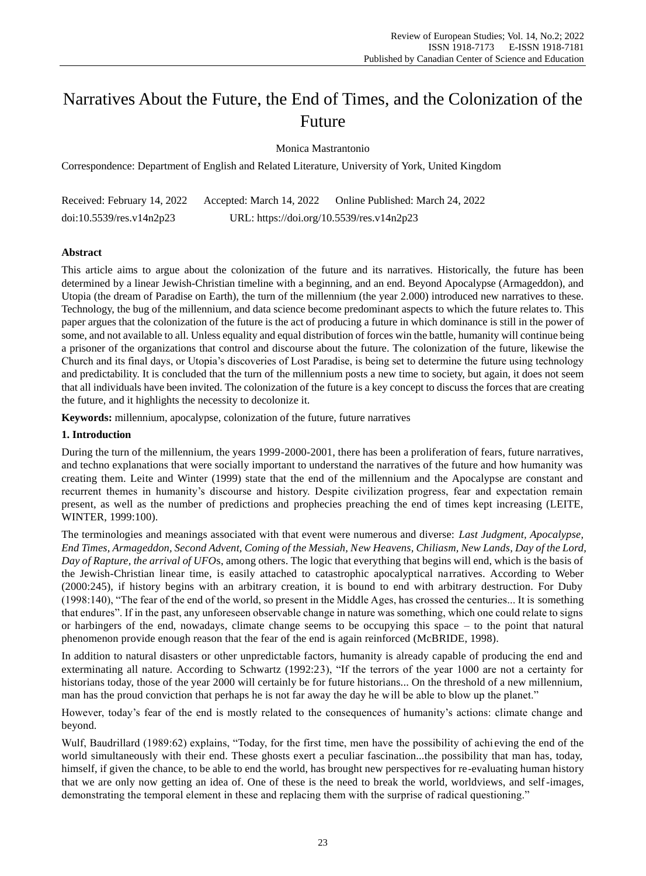# Narratives About the Future, the End of Times, and the Colonization of the Future

Monica Mastrantonio

Correspondence: Department of English and Related Literature, University of York, United Kingdom

| Received: February 14, 2022 | Accepted: March 14, 2022                  | Online Published: March 24, 2022 |
|-----------------------------|-------------------------------------------|----------------------------------|
| doi:10.5539/res.v14n2p23    | URL: https://doi.org/10.5539/res.v14n2p23 |                                  |

# **Abstract**

This article aims to argue about the colonization of the future and its narratives. Historically, the future has been determined by a linear Jewish-Christian timeline with a beginning, and an end. Beyond Apocalypse (Armageddon), and Utopia (the dream of Paradise on Earth), the turn of the millennium (the year 2.000) introduced new narratives to these. Technology, the bug of the millennium, and data science become predominant aspects to which the future relates to. This paper argues that the colonization of the future is the act of producing a future in which dominance is still in the power of some, and not available to all. Unless equality and equal distribution of forces win the battle, humanity will continue being a prisoner of the organizations that control and discourse about the future. The colonization of the future, likewise the Church and its final days, or Utopia's discoveries of Lost Paradise, is being set to determine the future using technology and predictability. It is concluded that the turn of the millennium posts a new time to society, but again, it does not seem that all individuals have been invited. The colonization of the future is a key concept to discuss the forces that are creating the future, and it highlights the necessity to decolonize it.

**Keywords:** millennium, apocalypse, colonization of the future, future narratives

# **1. Introduction**

During the turn of the millennium, the years 1999-2000-2001, there has been a proliferation of fears, future narratives, and techno explanations that were socially important to understand the narratives of the future and how humanity was creating them. Leite and Winter (1999) state that the end of the millennium and the Apocalypse are constant and recurrent themes in humanity's discourse and history. Despite civilization progress, fear and expectation remain present, as well as the number of predictions and prophecies preaching the end of times kept increasing (LEITE, WINTER, 1999:100).

The terminologies and meanings associated with that event were numerous and diverse: *Last Judgment, Apocalypse, End Times, Armageddon, Second Advent, Coming of the Messiah, New Heavens, Chiliasm, New Lands, Day of the Lord, Day of Rapture, the arrival of UFO*s, among others. The logic that everything that begins will end, which is the basis of the Jewish-Christian linear time, is easily attached to catastrophic apocalyptical narratives. According to Weber (2000:245), if history begins with an arbitrary creation, it is bound to end with arbitrary destruction. For Duby (1998:140), "The fear of the end of the world, so present in the Middle Ages, has crossed the centuries... It is something that endures". If in the past, any unforeseen observable change in nature was something, which one could relate to signs or harbingers of the end, nowadays, climate change seems to be occupying this space – to the point that natural phenomenon provide enough reason that the fear of the end is again reinforced (McBRIDE, 1998).

In addition to natural disasters or other unpredictable factors, humanity is already capable of producing the end and exterminating all nature. According to Schwartz (1992:23), "If the terrors of the year 1000 are not a certainty for historians today, those of the year 2000 will certainly be for future historians... On the threshold of a new millennium, man has the proud conviction that perhaps he is not far away the day he will be able to blow up the planet."

However, today's fear of the end is mostly related to the consequences of humanity's actions: climate change and beyond.

Wulf, Baudrillard (1989:62) explains, "Today, for the first time, men have the possibility of achi eving the end of the world simultaneously with their end. These ghosts exert a peculiar fascination...the possibility that man has, today, himself, if given the chance, to be able to end the world, has brought new perspectives for re-evaluating human history that we are only now getting an idea of. One of these is the need to break the world, worldviews, and self-images, demonstrating the temporal element in these and replacing them with the surprise of radical questioning."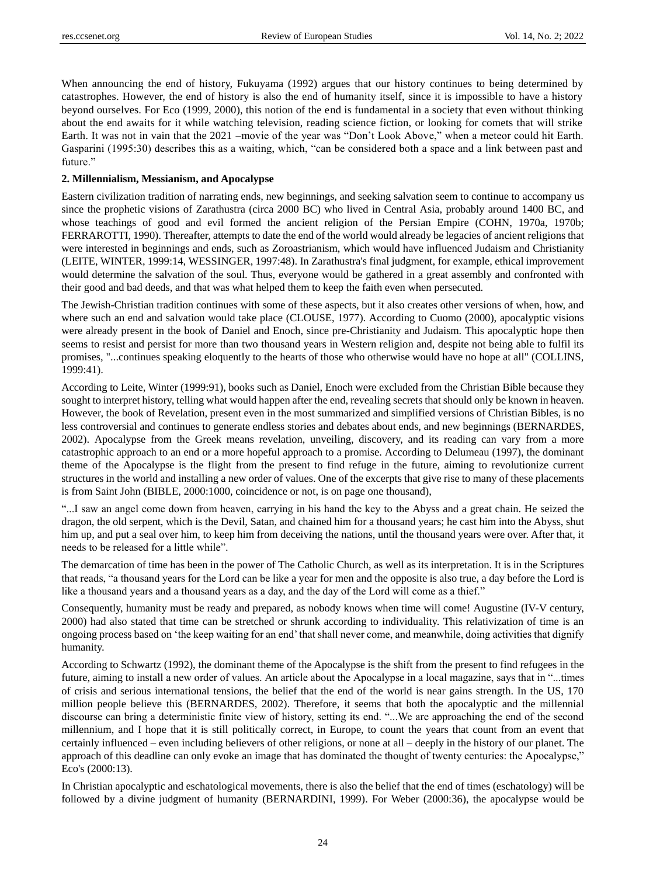When announcing the end of history, Fukuyama (1992) argues that our history continues to being determined by catastrophes. However, the end of history is also the end of humanity itself, since it is impossible to have a history beyond ourselves. For Eco (1999, 2000), this notion of the end is fundamental in a society that even without thinking about the end awaits for it while watching television, reading science fiction, or looking for comets that will strike Earth. It was not in vain that the 2021 –movie of the year was "Don't Look Above," when a meteor could hit Earth. Gasparini (1995:30) describes this as a waiting, which, "can be considered both a space and a link between past and future."

## **2. Millennialism, Messianism, and Apocalypse**

Eastern civilization tradition of narrating ends, new beginnings, and seeking salvation seem to continue to accompany us since the prophetic visions of Zarathustra (circa 2000 BC) who lived in Central Asia, probably around 1400 BC, and whose teachings of good and evil formed the ancient religion of the Persian Empire (COHN, 1970a, 1970b; FERRAROTTI, 1990). Thereafter, attempts to date the end of the world would already be legacies of ancient religions that were interested in beginnings and ends, such as Zoroastrianism, which would have influenced Judaism and Christianity (LEITE, WINTER, 1999:14, WESSINGER, 1997:48). In Zarathustra's final judgment, for example, ethical improvement would determine the salvation of the soul. Thus, everyone would be gathered in a great assembly and confronted with their good and bad deeds, and that was what helped them to keep the faith even when persecuted.

The Jewish-Christian tradition continues with some of these aspects, but it also creates other versions of when, how, and where such an end and salvation would take place (CLOUSE, 1977). According to Cuomo (2000), apocalyptic visions were already present in the book of Daniel and Enoch, since pre-Christianity and Judaism. This apocalyptic hope then seems to resist and persist for more than two thousand years in Western religion and, despite not being able to fulfil its promises, "...continues speaking eloquently to the hearts of those who otherwise would have no hope at all" (COLLINS, 1999:41).

According to Leite, Winter (1999:91), books such as Daniel, Enoch were excluded from the Christian Bible because they sought to interpret history, telling what would happen after the end, revealing secrets that should only be known in heaven. However, the book of Revelation, present even in the most summarized and simplified versions of Christian Bibles, is no less controversial and continues to generate endless stories and debates about ends, and new beginnings (BERNARDES, 2002). Apocalypse from the Greek means revelation, unveiling, discovery, and its reading can vary from a more catastrophic approach to an end or a more hopeful approach to a promise. According to Delumeau (1997), the dominant theme of the Apocalypse is the flight from the present to find refuge in the future, aiming to revolutionize current structures in the world and installing a new order of values. One of the excerpts that give rise to many of these placements is from Saint John (BIBLE, 2000:1000, coincidence or not, is on page one thousand),

"...I saw an angel come down from heaven, carrying in his hand the key to the Abyss and a great chain. He seized the dragon, the old serpent, which is the Devil, Satan, and chained him for a thousand years; he cast him into the Abyss, shut him up, and put a seal over him, to keep him from deceiving the nations, until the thousand years were over. After that, it needs to be released for a little while".

The demarcation of time has been in the power of The Catholic Church, as well as its interpretation. It is in the Scriptures that reads, "a thousand years for the Lord can be like a year for men and the opposite is also true, a day before the Lord is like a thousand years and a thousand years as a day, and the day of the Lord will come as a thief."

Consequently, humanity must be ready and prepared, as nobody knows when time will come! Augustine (IV-V century, 2000) had also stated that time can be stretched or shrunk according to individuality. This relativization of time is an ongoing process based on 'the keep waiting for an end' that shall never come, and meanwhile, doing activities that dignify humanity.

According to Schwartz (1992), the dominant theme of the Apocalypse is the shift from the present to find refugees in the future, aiming to install a new order of values. An article about the Apocalypse in a local magazine, says that in "...times of crisis and serious international tensions, the belief that the end of the world is near gains strength. In the US, 170 million people believe this (BERNARDES, 2002). Therefore, it seems that both the apocalyptic and the millennial discourse can bring a deterministic finite view of history, setting its end. "...We are approaching the end of the second millennium, and I hope that it is still politically correct, in Europe, to count the years that count from an event that certainly influenced – even including believers of other religions, or none at all – deeply in the history of our planet. The approach of this deadline can only evoke an image that has dominated the thought of twenty centuries: the Apocalypse," Eco's (2000:13).

In Christian apocalyptic and eschatological movements, there is also the belief that the end of times (eschatology) will be followed by a divine judgment of humanity (BERNARDINI, 1999). For Weber (2000:36), the apocalypse would be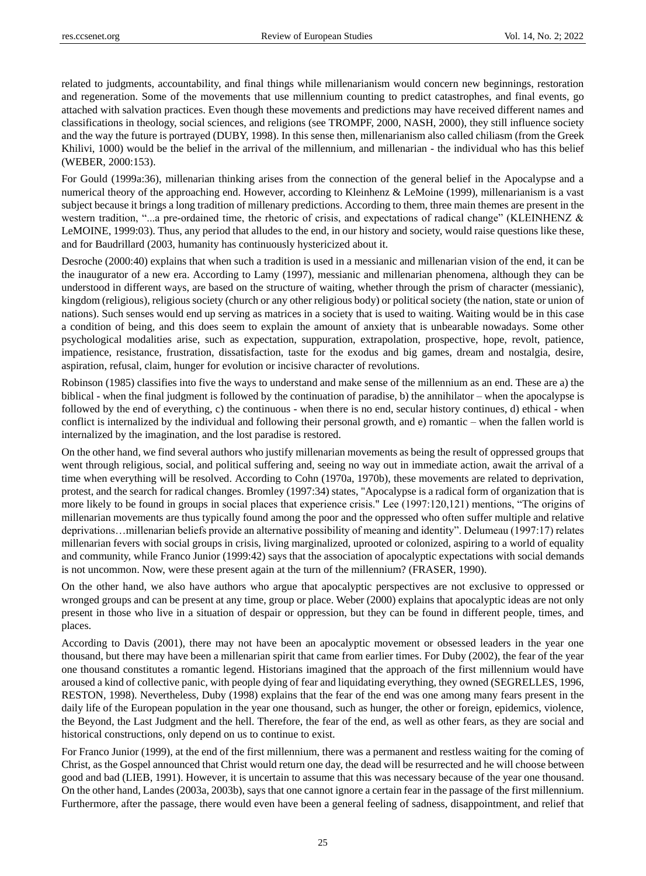related to judgments, accountability, and final things while millenarianism would concern new beginnings, restoration and regeneration. Some of the movements that use millennium counting to predict catastrophes, and final events, go attached with salvation practices. Even though these movements and predictions may have received different names and classifications in theology, social sciences, and religions (see TROMPF, 2000, NASH, 2000), they still influence society and the way the future is portrayed (DUBY, 1998). In this sense then, millenarianism also called chiliasm (from the Greek Khilivi, 1000) would be the belief in the arrival of the millennium, and millenarian - the individual who has this belief (WEBER, 2000:153).

For Gould (1999a:36), millenarian thinking arises from the connection of the general belief in the Apocalypse and a numerical theory of the approaching end. However, according to Kleinhenz & LeMoine (1999), millenarianism is a vast subject because it brings a long tradition of millenary predictions. According to them, three main themes are present in the western tradition, "...a pre-ordained time, the rhetoric of crisis, and expectations of radical change" (KLEINHENZ & LeMOINE, 1999:03). Thus, any period that alludes to the end, in our history and society, would raise questions like these, and for Baudrillard (2003, humanity has continuously hystericized about it.

Desroche (2000:40) explains that when such a tradition is used in a messianic and millenarian vision of the end, it can be the inaugurator of a new era. According to Lamy (1997), messianic and millenarian phenomena, although they can be understood in different ways, are based on the structure of waiting, whether through the prism of character (messianic), kingdom (religious), religious society (church or any other religious body) or political society (the nation, state or union of nations). Such senses would end up serving as matrices in a society that is used to waiting. Waiting would be in this case a condition of being, and this does seem to explain the amount of anxiety that is unbearable nowadays. Some other psychological modalities arise, such as expectation, suppuration, extrapolation, prospective, hope, revolt, patience, impatience, resistance, frustration, dissatisfaction, taste for the exodus and big games, dream and nostalgia, desire, aspiration, refusal, claim, hunger for evolution or incisive character of revolutions.

Robinson (1985) classifies into five the ways to understand and make sense of the millennium as an end. These are a) the biblical - when the final judgment is followed by the continuation of paradise, b) the annihilator – when the apocalypse is followed by the end of everything, c) the continuous - when there is no end, secular history continues, d) ethical - when conflict is internalized by the individual and following their personal growth, and e) romantic – when the fallen world is internalized by the imagination, and the lost paradise is restored.

On the other hand, we find several authors who justify millenarian movements as being the result of oppressed groups that went through religious, social, and political suffering and, seeing no way out in immediate action, await the arrival of a time when everything will be resolved. According to Cohn (1970a, 1970b), these movements are related to deprivation, protest, and the search for radical changes. Bromley (1997:34) states, "Apocalypse is a radical form of organization that is more likely to be found in groups in social places that experience crisis." Lee (1997:120,121) mentions, "The origins of millenarian movements are thus typically found among the poor and the oppressed who often suffer multiple and relative deprivations…millenarian beliefs provide an alternative possibility of meaning and identity". Delumeau (1997:17) relates millenarian fevers with social groups in crisis, living marginalized, uprooted or colonized, aspiring to a world of equality and community, while Franco Junior (1999:42) says that the association of apocalyptic expectations with social demands is not uncommon. Now, were these present again at the turn of the millennium? (FRASER, 1990).

On the other hand, we also have authors who argue that apocalyptic perspectives are not exclusive to oppressed or wronged groups and can be present at any time, group or place. Weber (2000) explains that apocalyptic ideas are not only present in those who live in a situation of despair or oppression, but they can be found in different people, times, and places.

According to Davis (2001), there may not have been an apocalyptic movement or obsessed leaders in the year one thousand, but there may have been a millenarian spirit that came from earlier times. For Duby (2002), the fear of the year one thousand constitutes a romantic legend. Historians imagined that the approach of the first millennium would have aroused a kind of collective panic, with people dying of fear and liquidating everything, they owned (SEGRELLES, 1996, RESTON, 1998). Nevertheless, Duby (1998) explains that the fear of the end was one among many fears present in the daily life of the European population in the year one thousand, such as hunger, the other or foreign, epidemics, violence, the Beyond, the Last Judgment and the hell. Therefore, the fear of the end, as well as other fears, as they are social and historical constructions, only depend on us to continue to exist.

For Franco Junior (1999), at the end of the first millennium, there was a permanent and restless waiting for the coming of Christ, as the Gospel announced that Christ would return one day, the dead will be resurrected and he will choose between good and bad (LIEB, 1991). However, it is uncertain to assume that this was necessary because of the year one thousand. On the other hand, Landes (2003a, 2003b), says that one cannot ignore a certain fear in the passage of the first millennium. Furthermore, after the passage, there would even have been a general feeling of sadness, disappointment, and relief that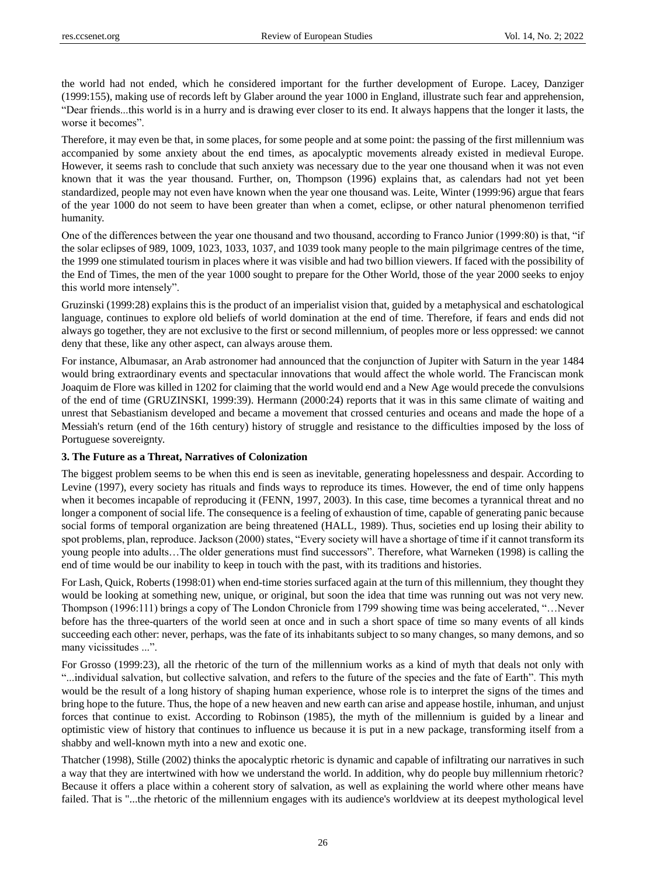the world had not ended, which he considered important for the further development of Europe. Lacey, Danziger (1999:155), making use of records left by Glaber around the year 1000 in England, illustrate such fear and apprehension, "Dear friends...this world is in a hurry and is drawing ever closer to its end. It always happens that the longer it lasts, the worse it becomes".

Therefore, it may even be that, in some places, for some people and at some point: the passing of the first millennium was accompanied by some anxiety about the end times, as apocalyptic movements already existed in medieval Europe. However, it seems rash to conclude that such anxiety was necessary due to the year one thousand when it was not even known that it was the year thousand. Further, on, Thompson (1996) explains that, as calendars had not yet been standardized, people may not even have known when the year one thousand was. Leite, Winter (1999:96) argue that fears of the year 1000 do not seem to have been greater than when a comet, eclipse, or other natural phenomenon terrified humanity.

One of the differences between the year one thousand and two thousand, according to Franco Junior (1999:80) is that, "if the solar eclipses of 989, 1009, 1023, 1033, 1037, and 1039 took many people to the main pilgrimage centres of the time, the 1999 one stimulated tourism in places where it was visible and had two billion viewers. If faced with the possibility of the End of Times, the men of the year 1000 sought to prepare for the Other World, those of the year 2000 seeks to enjoy this world more intensely".

Gruzinski (1999:28) explains this is the product of an imperialist vision that, guided by a metaphysical and eschatological language, continues to explore old beliefs of world domination at the end of time. Therefore, if fears and ends did not always go together, they are not exclusive to the first or second millennium, of peoples more or less oppressed: we cannot deny that these, like any other aspect, can always arouse them.

For instance, Albumasar, an Arab astronomer had announced that the conjunction of Jupiter with Saturn in the year 1484 would bring extraordinary events and spectacular innovations that would affect the whole world. The Franciscan monk Joaquim de Flore was killed in 1202 for claiming that the world would end and a New Age would precede the convulsions of the end of time (GRUZINSKI, 1999:39). Hermann (2000:24) reports that it was in this same climate of waiting and unrest that Sebastianism developed and became a movement that crossed centuries and oceans and made the hope of a Messiah's return (end of the 16th century) history of struggle and resistance to the difficulties imposed by the loss of Portuguese sovereignty.

#### **3. The Future as a Threat, Narratives of Colonization**

The biggest problem seems to be when this end is seen as inevitable, generating hopelessness and despair. According to Levine (1997), every society has rituals and finds ways to reproduce its times. However, the end of time only happens when it becomes incapable of reproducing it (FENN, 1997, 2003). In this case, time becomes a tyrannical threat and no longer a component of social life. The consequence is a feeling of exhaustion of time, capable of generating panic because social forms of temporal organization are being threatened (HALL, 1989). Thus, societies end up losing their ability to spot problems, plan, reproduce. Jackson (2000) states, "Every society will have a shortage of time if it cannot transform its young people into adults…The older generations must find successors". Therefore, what Warneken (1998) is calling the end of time would be our inability to keep in touch with the past, with its traditions and histories.

For Lash, Quick, Roberts (1998:01) when end-time stories surfaced again at the turn of this millennium, they thought they would be looking at something new, unique, or original, but soon the idea that time was running out was not very new. Thompson (1996:111) brings a copy of The London Chronicle from 1799 showing time was being accelerated, "…Never before has the three-quarters of the world seen at once and in such a short space of time so many events of all kinds succeeding each other: never, perhaps, was the fate of its inhabitants subject to so many changes, so many demons, and so many vicissitudes ...".

For Grosso (1999:23), all the rhetoric of the turn of the millennium works as a kind of myth that deals not only with "...individual salvation, but collective salvation, and refers to the future of the species and the fate of Earth". This myth would be the result of a long history of shaping human experience, whose role is to interpret the signs of the times and bring hope to the future. Thus, the hope of a new heaven and new earth can arise and appease hostile, inhuman, and unjust forces that continue to exist. According to Robinson (1985), the myth of the millennium is guided by a linear and optimistic view of history that continues to influence us because it is put in a new package, transforming itself from a shabby and well-known myth into a new and exotic one.

Thatcher (1998), Stille (2002) thinks the apocalyptic rhetoric is dynamic and capable of infiltrating our narratives in such a way that they are intertwined with how we understand the world. In addition, why do people buy millennium rhetoric? Because it offers a place within a coherent story of salvation, as well as explaining the world where other means have failed. That is "...the rhetoric of the millennium engages with its audience's worldview at its deepest mythological level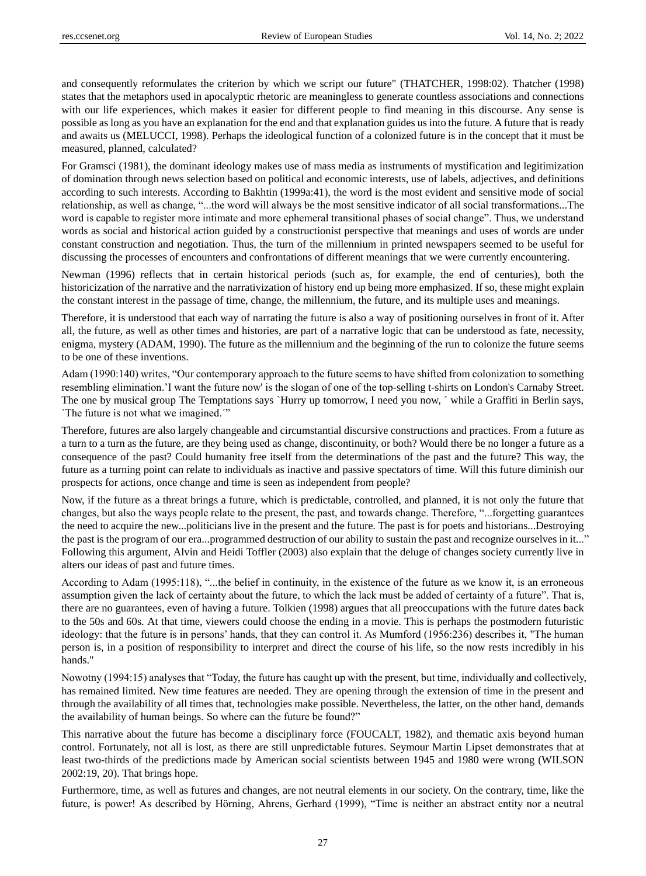and consequently reformulates the criterion by which we script our future" (THATCHER, 1998:02). Thatcher (1998) states that the metaphors used in apocalyptic rhetoric are meaningless to generate countless associations and connections with our life experiences, which makes it easier for different people to find meaning in this discourse. Any sense is possible as long as you have an explanation for the end and that explanation guides us into the future. A future that is ready and awaits us (MELUCCI, 1998). Perhaps the ideological function of a colonized future is in the concept that it must be measured, planned, calculated?

For Gramsci (1981), the dominant ideology makes use of mass media as instruments of mystification and legitimization of domination through news selection based on political and economic interests, use of labels, adjectives, and definitions according to such interests. According to Bakhtin (1999a:41), the word is the most evident and sensitive mode of social relationship, as well as change, "...the word will always be the most sensitive indicator of all social transformations...The word is capable to register more intimate and more ephemeral transitional phases of social change". Thus, we understand words as social and historical action guided by a constructionist perspective that meanings and uses of words are under constant construction and negotiation. Thus, the turn of the millennium in printed newspapers seemed to be useful for discussing the processes of encounters and confrontations of different meanings that we were currently encountering.

Newman (1996) reflects that in certain historical periods (such as, for example, the end of centuries), both the historicization of the narrative and the narrativization of history end up being more emphasized. If so, these might explain the constant interest in the passage of time, change, the millennium, the future, and its multiple uses and meanings.

Therefore, it is understood that each way of narrating the future is also a way of positioning ourselves in front of it. After all, the future, as well as other times and histories, are part of a narrative logic that can be understood as fate, necessity, enigma, mystery (ADAM, 1990). The future as the millennium and the beginning of the run to colonize the future seems to be one of these inventions.

Adam (1990:140) writes, "Our contemporary approach to the future seems to have shifted from colonization to something resembling elimination.'I want the future now' is the slogan of one of the top-selling t-shirts on London's Carnaby Street. The one by musical group The Temptations says `Hurry up tomorrow, I need you now, ´ while a Graffiti in Berlin says, `The future is not what we imagined.´"

Therefore, futures are also largely changeable and circumstantial discursive constructions and practices. From a future as a turn to a turn as the future, are they being used as change, discontinuity, or both? Would there be no longer a future as a consequence of the past? Could humanity free itself from the determinations of the past and the future? This way, the future as a turning point can relate to individuals as inactive and passive spectators of time. Will this future diminish our prospects for actions, once change and time is seen as independent from people?

Now, if the future as a threat brings a future, which is predictable, controlled, and planned, it is not only the future that changes, but also the ways people relate to the present, the past, and towards change. Therefore, "...forgetting guarantees the need to acquire the new...politicians live in the present and the future. The past is for poets and historians...Destroying the past is the program of our era...programmed destruction of our ability to sustain the past and recognize ourselves in it..." Following this argument, Alvin and Heidi Toffler (2003) also explain that the deluge of changes society currently live in alters our ideas of past and future times.

According to Adam (1995:118), "...the belief in continuity, in the existence of the future as we know it, is an erroneous assumption given the lack of certainty about the future, to which the lack must be added of certainty of a future". That is, there are no guarantees, even of having a future. Tolkien (1998) argues that all preoccupations with the future dates back to the 50s and 60s. At that time, viewers could choose the ending in a movie. This is perhaps the postmodern futuristic ideology: that the future is in persons' hands, that they can control it. As Mumford (1956:236) describes it, "The human person is, in a position of responsibility to interpret and direct the course of his life, so the now rests incredibly in his hands."

Nowotny (1994:15) analyses that "Today, the future has caught up with the present, but time, individually and collectively, has remained limited. New time features are needed. They are opening through the extension of time in the present and through the availability of all times that, technologies make possible. Nevertheless, the latter, on the other hand, demands the availability of human beings. So where can the future be found?"

This narrative about the future has become a disciplinary force (FOUCALT, 1982), and thematic axis beyond human control. Fortunately, not all is lost, as there are still unpredictable futures. Seymour Martin Lipset demonstrates that at least two-thirds of the predictions made by American social scientists between 1945 and 1980 were wrong (WILSON 2002:19, 20). That brings hope.

Furthermore, time, as well as futures and changes, are not neutral elements in our society. On the contrary, time, like the future, is power! As described by Hörning, Ahrens, Gerhard (1999), "Time is neither an abstract entity nor a neutral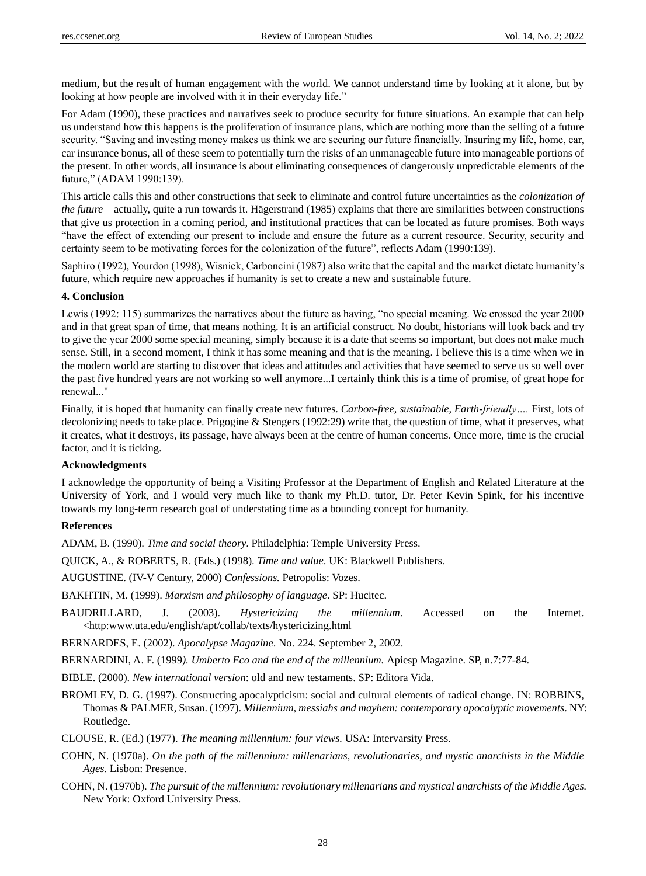medium, but the result of human engagement with the world. We cannot understand time by looking at it alone, but by looking at how people are involved with it in their everyday life."

For Adam (1990), these practices and narratives seek to produce security for future situations. An example that can help us understand how this happens is the proliferation of insurance plans, which are nothing more than the selling of a future security. "Saving and investing money makes us think we are securing our future financially. Insuring my life, home, car, car insurance bonus, all of these seem to potentially turn the risks of an unmanageable future into manageable portions of the present. In other words, all insurance is about eliminating consequences of dangerously unpredictable elements of the future," (ADAM 1990:139).

This article calls this and other constructions that seek to eliminate and control future uncertainties as the *colonization of the future* – actually, quite a run towards it. Hägerstrand (1985) explains that there are similarities between constructions that give us protection in a coming period, and institutional practices that can be located as future promises. Both ways "have the effect of extending our present to include and ensure the future as a current resource. Security, security and certainty seem to be motivating forces for the colonization of the future", reflects Adam (1990:139).

Saphiro (1992), Yourdon (1998), Wisnick, Carboncini (1987) also write that the capital and the market dictate humanity's future, which require new approaches if humanity is set to create a new and sustainable future.

#### **4. Conclusion**

Lewis (1992: 115) summarizes the narratives about the future as having, "no special meaning. We crossed the year 2000 and in that great span of time, that means nothing. It is an artificial construct. No doubt, historians will look back and try to give the year 2000 some special meaning, simply because it is a date that seems so important, but does not make much sense. Still, in a second moment, I think it has some meaning and that is the meaning. I believe this is a time when we in the modern world are starting to discover that ideas and attitudes and activities that have seemed to serve us so well over the past five hundred years are not working so well anymore...I certainly think this is a time of promise, of great hope for renewal..."

Finally, it is hoped that humanity can finally create new futures. *Carbon-free, sustainable, Earth-friendly….* First, lots of decolonizing needs to take place. Prigogine & Stengers (1992:29) write that, the question of time, what it preserves, what it creates, what it destroys, its passage, have always been at the centre of human concerns. Once more, time is the crucial factor, and it is ticking.

## **Acknowledgments**

I acknowledge the opportunity of being a Visiting Professor at the Department of English and Related Literature at the University of York, and I would very much like to thank my Ph.D. tutor, Dr. Peter Kevin Spink, for his incentive towards my long-term research goal of understating time as a bounding concept for humanity.

# **References**

ADAM, B. (1990). *Time and social theory*. Philadelphia: Temple University Press.

QUICK, A., & ROBERTS, R. (Eds.) (1998). *Time and value*. UK: Blackwell Publishers.

AUGUSTINE. (IV-V Century, 2000) *Confessions.* Petropolis: Vozes.

BAKHTIN, M. (1999). *Marxism and philosophy of language*. SP: Hucitec.

BAUDRILLARD, J. (2003). *Hystericizing the millennium*. Accessed on the Internet. <http:www.uta.edu/english/apt/collab/texts/hystericizing.html

BERNARDES, E. (2002). *Apocalypse Magazine*. No. 224. September 2, 2002.

BERNARDINI, A. F. (1999*). Umberto Eco and the end of the millennium.* Apiesp Magazine. SP, n.7:77-84.

BIBLE. (2000). *New international version*: old and new testaments. SP: Editora Vida.

- BROMLEY, D. G. (1997). Constructing apocalypticism: social and cultural elements of radical change. IN: ROBBINS, Thomas & PALMER, Susan. (1997). *Millennium, messiahs and mayhem: contemporary apocalyptic movements*. NY: Routledge.
- CLOUSE, R. (Ed.) (1977). *The meaning millennium: four views.* USA: Intervarsity Press.
- COHN, N. (1970a). *On the path of the millennium: millenarians, revolutionaries, and mystic anarchists in the Middle Ages.* Lisbon: Presence.
- COHN, N. (1970b). *The pursuit of the millennium: revolutionary millenarians and mystical anarchists of the Middle Ages.* New York: Oxford University Press.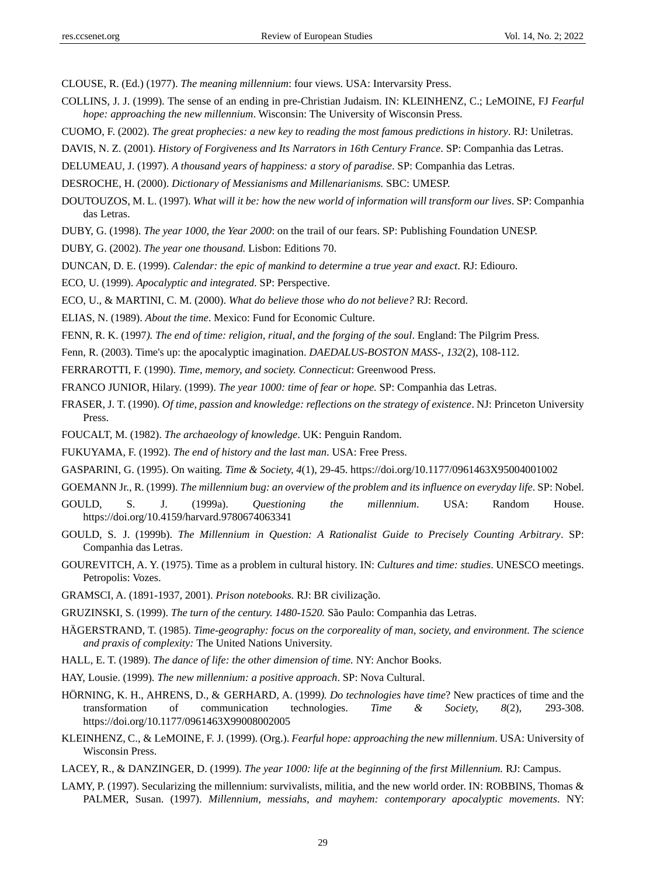CLOUSE, R. (Ed.) (1977). *The meaning millennium*: four views. USA: Intervarsity Press.

- COLLINS, J. J. (1999). The sense of an ending in pre-Christian Judaism. IN: KLEINHENZ, C.; LeMOINE, FJ *Fearful hope: approaching the new millennium*. Wisconsin: The University of Wisconsin Press.
- CUOMO, F. (2002). *The great prophecies: a new key to reading the most famous predictions in history*. RJ: Uniletras.
- DAVIS, N. Z. (2001). *History of Forgiveness and Its Narrators in 16th Century France*. SP: Companhia das Letras.
- DELUMEAU, J. (1997). *A thousand years of happiness: a story of paradise*. SP: Companhia das Letras.
- DESROCHE, H. (2000). *Dictionary of Messianisms and Millenarianisms.* SBC: UMESP.
- DOUTOUZOS, M. L. (1997). *What will it be: how the new world of information will transform our lives*. SP: Companhia das Letras.
- DUBY, G. (1998). *The year 1000, the Year 2000*: on the trail of our fears. SP: Publishing Foundation UNESP.
- DUBY, G. (2002). *The year one thousand.* Lisbon: Editions 70.
- DUNCAN, D. E. (1999). *Calendar: the epic of mankind to determine a true year and exact*. RJ: Ediouro.
- ECO, U. (1999). *Apocalyptic and integrated*. SP: Perspective.
- ECO, U., & MARTINI, C. M. (2000). *What do believe those who do not believe?* RJ: Record.
- ELIAS, N. (1989). *About the time*. Mexico: Fund for Economic Culture.
- FENN, R. K. (1997*). The end of time: religion, ritual, and the forging of the soul*. England: The Pilgrim Press.
- Fenn, R. (2003). Time's up: the apocalyptic imagination. *DAEDALUS-BOSTON MASS-, 132*(2), 108-112.
- FERRAROTTI, F. (1990). *Time, memory, and society. Connecticut*: Greenwood Press.
- FRANCO JUNIOR, Hilary. (1999). *The year 1000: time of fear or hope.* SP: Companhia das Letras.
- FRASER, J. T. (1990). *Of time, passion and knowledge: reflections on the strategy of existence*. NJ: Princeton University Press.
- FOUCALT, M. (1982). *The archaeology of knowledge*. UK: Penguin Random.
- FUKUYAMA, F. (1992). *The end of history and the last man*. USA: Free Press.
- GASPARINI, G. (1995). On waiting*. Time & Society, 4*(1), 29-45. <https://doi.org/10.1177/0961463X95004001002>
- GOEMANN Jr., R. (1999). *The millennium bug: an overview of the problem and its influence on everyday life*. SP: Nobel.
- GOULD, S. J. (1999a). *Questioning the millennium*. USA: Random House. <https://doi.org/10.4159/harvard.9780674063341>
- GOULD, S. J. (1999b). *The Millennium in Question: A Rationalist Guide to Precisely Counting Arbitrary*. SP: Companhia das Letras.
- GOUREVITCH, A. Y. (1975). Time as a problem in cultural history. IN: *Cultures and time: studies*. UNESCO meetings. Petropolis: Vozes.
- GRAMSCI, A. (1891-1937, 2001). *Prison notebooks.* RJ: BR civilização.
- GRUZINSKI, S. (1999). *The turn of the century. 1480-1520.* São Paulo: Companhia das Letras.
- HÄGERSTRAND, T. (1985). *Time-geography: focus on the corporeality of man, society, and environment. The science and praxis of complexity:* The United Nations University.
- HALL, E. T. (1989). *The dance of life: the other dimension of time.* NY: Anchor Books.
- HAY, Lousie. (1999). *The new millennium: a positive approach*. SP: Nova Cultural.
- HÖRNING, K. H., AHRENS, D., & GERHARD, A. (1999*). Do technologies have time*? New practices of time and the transformation of communication technologies. *Time & Society, 8*(2), 293-308. <https://doi.org/10.1177/0961463X99008002005>
- KLEINHENZ, C., & LeMOINE, F. J. (1999). (Org.). *Fearful hope: approaching the new millennium*. USA: University of Wisconsin Press.
- LACEY, R., & DANZINGER, D. (1999). *The year 1000: life at the beginning of the first Millennium.* RJ: Campus.
- LAMY, P. (1997). Secularizing the millennium: survivalists, militia, and the new world order. IN: ROBBINS, Thomas & PALMER, Susan. (1997). *Millennium, messiahs, and mayhem: contemporary apocalyptic movements*. NY: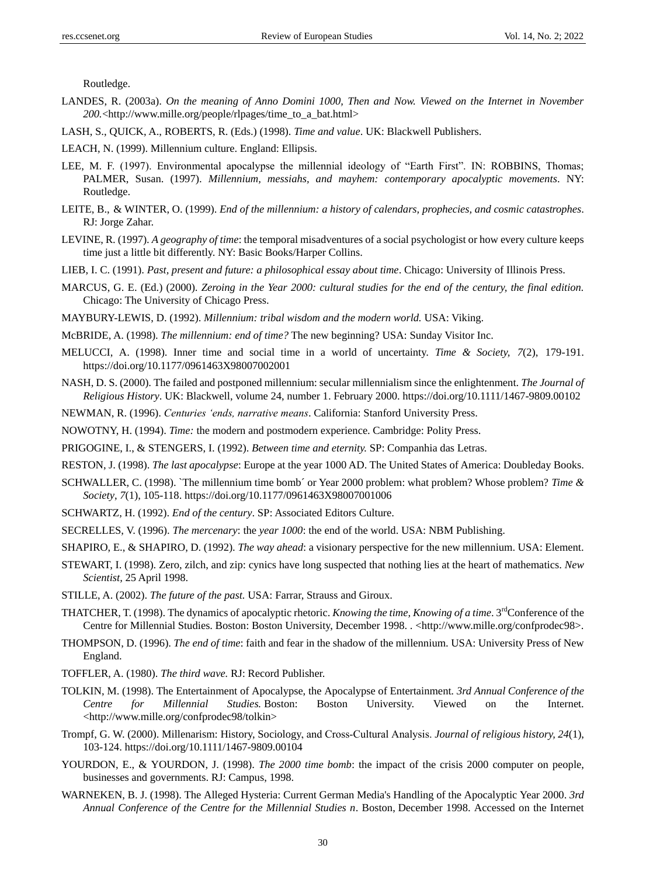Routledge.

- LANDES, R. (2003a). *On the meaning of Anno Domini 1000, Then and Now. Viewed on the Internet in November 200.*<http://www.mille.org/people/rlpages/time\_to\_a\_bat.html>
- LASH, S., QUICK, A., ROBERTS, R. (Eds.) (1998). *Time and value*. UK: Blackwell Publishers.
- LEACH, N. (1999). Millennium culture. England: Ellipsis.
- LEE, M. F. (1997). Environmental apocalypse the millennial ideology of "Earth First". IN: ROBBINS, Thomas; PALMER, Susan. (1997). *Millennium, messiahs, and mayhem: contemporary apocalyptic movements*. NY: Routledge.
- LEITE, B., & WINTER, O. (1999). *End of the millennium: a history of calendars, prophecies, and cosmic catastrophes*. RJ: Jorge Zahar.
- LEVINE, R. (1997). *A geography of time*: the temporal misadventures of a social psychologist or how every culture keeps time just a little bit differently. NY: Basic Books/Harper Collins.
- LIEB, I. C. (1991). *Past, present and future: a philosophical essay about time*. Chicago: University of Illinois Press.
- MARCUS, G. E. (Ed.) (2000). *Zeroing in the Year 2000: cultural studies for the end of the century, the final edition.* Chicago: The University of Chicago Press.
- MAYBURY-LEWIS, D. (1992). *Millennium: tribal wisdom and the modern world.* USA: Viking.
- McBRIDE, A. (1998). *The millennium: end of time?* The new beginning? USA: Sunday Visitor Inc.
- MELUCCI, A. (1998). Inner time and social time in a world of uncertainty. *Time & Society, 7*(2), 179-191. <https://doi.org/10.1177/0961463X98007002001>
- NASH, D. S. (2000). The failed and postponed millennium: secular millennialism since the enlightenment. *The Journal of Religious History*. UK: Blackwell, volume 24, number 1. February 2000. <https://doi.org/10.1111/1467-9809.00102>
- NEWMAN, R. (1996). *Centuries 'ends, narrative means*. California: Stanford University Press.
- NOWOTNY, H. (1994). *Time:* the modern and postmodern experience. Cambridge: Polity Press.
- PRIGOGINE, I., & STENGERS, I. (1992). *Between time and eternity.* SP: Companhia das Letras.
- RESTON, J. (1998). *The last apocalypse*: Europe at the year 1000 AD. The United States of America: Doubleday Books.
- SCHWALLER, C. (1998). `The millennium time bomb ´or Year 2000 problem: what problem? Whose problem? *Time & Society*, *7*(1), 105-118. <https://doi.org/10.1177/0961463X98007001006>
- SCHWARTZ, H. (1992). *End of the century*. SP: Associated Editors Culture.
- SECRELLES, V. (1996). *The mercenary*: the *year 1000*: the end of the world. USA: NBM Publishing.
- SHAPIRO, E., & SHAPIRO, D. (1992). *The way ahead*: a visionary perspective for the new millennium. USA: Element.
- STEWART, I. (1998). Zero, zilch, and zip: cynics have long suspected that nothing lies at the heart of mathematics. *New Scientist,* 25 April 1998.
- STILLE, A. (2002). *The future of the past.* USA: Farrar, Strauss and Giroux.
- THATCHER, T. (1998). The dynamics of apocalyptic rhetoric. *Knowing the time, Knowing of a time*. 3<sup>rd</sup>Conference of the Centre for Millennial Studies. Boston: Boston University, December 1998. . <http://www.mille.org/confprodec98>.
- THOMPSON, D. (1996). *The end of time*: faith and fear in the shadow of the millennium. USA: University Press of New England.
- TOFFLER, A. (1980). *The third wave.* RJ: Record Publisher.
- TOLKIN, M. (1998). The Entertainment of Apocalypse, the Apocalypse of Entertainment*. 3rd Annual Conference of the Centre for Millennial Studies.* Boston: Boston University. Viewed on the Internet. <http://www.mille.org/confprodec98/tolkin>
- Trompf, G. W. (2000). Millenarism: History, Sociology, and Cross‐Cultural Analysis. *Journal of religious history, 24*(1), 103-124. <https://doi.org/10.1111/1467-9809.00104>
- YOURDON, E., & YOURDON, J. (1998). *The 2000 time bomb*: the impact of the crisis 2000 computer on people, businesses and governments. RJ: Campus, 1998.
- WARNEKEN, B. J. (1998). The Alleged Hysteria: Current German Media's Handling of the Apocalyptic Year 2000. *3rd Annual Conference of the Centre for the Millennial Studies n*. Boston, December 1998. Accessed on the Internet